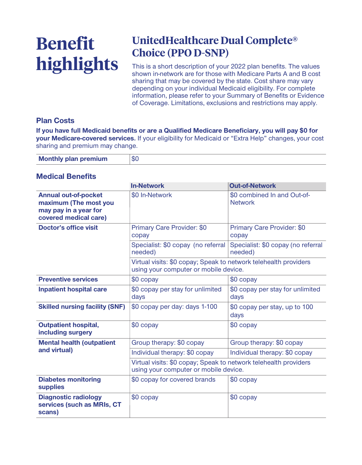# **Benefit highlights**

## **UnitedHealthcare Dual Complete® Choice (PPO D-SNP)**

**This is a short description of your 2022 plan benefits. The values shown in-network are for those with Medicare Parts A and B cost sharing that may be covered by the state. Cost share may vary depending on your individual Medicaid eligibility. For complete information, please refer to your Summary of Benefits or Evidence of Coverage. Limitations, exclusions and restrictions may apply.**

#### **Plan Costs**

**If you have full Medicaid benefits or are a Qualified Medicare Beneficiary, you will pay \$0 for your Medicare-covered services. If your eligibility for Medicaid or "Extra Help" changes, your cost sharing and premium may change.**

| <b>Monthly plan premium</b> | \$0 |
|-----------------------------|-----|

#### **Medical Benefits**

|                                                                                                        | <b>In-Network</b>                                                                                         | <b>Out-of-Network</b>                         |
|--------------------------------------------------------------------------------------------------------|-----------------------------------------------------------------------------------------------------------|-----------------------------------------------|
| <b>Annual out-of-pocket</b><br>maximum (The most you<br>may pay in a year for<br>covered medical care) | \$0 In-Network                                                                                            | \$0 combined In and Out-of-<br><b>Network</b> |
| <b>Doctor's office visit</b>                                                                           | <b>Primary Care Provider: \$0</b><br>copay                                                                | <b>Primary Care Provider: \$0</b><br>copay    |
|                                                                                                        | Specialist: \$0 copay (no referral<br>needed)                                                             | Specialist: \$0 copay (no referral<br>needed) |
|                                                                                                        | Virtual visits: \$0 copay; Speak to network telehealth providers<br>using your computer or mobile device. |                                               |
| <b>Preventive services</b>                                                                             | \$0 copay                                                                                                 | \$0 copay                                     |
| <b>Inpatient hospital care</b>                                                                         | \$0 copay per stay for unlimited<br>days                                                                  | \$0 copay per stay for unlimited<br>days      |
| <b>Skilled nursing facility (SNF)</b>                                                                  | \$0 copay per day: days 1-100                                                                             | \$0 copay per stay, up to 100<br>days         |
| <b>Outpatient hospital,</b><br>including surgery                                                       | $$0$ copay                                                                                                | $$0$ copay                                    |
| <b>Mental health (outpatient</b><br>and virtual)                                                       | Group therapy: \$0 copay                                                                                  | Group therapy: \$0 copay                      |
|                                                                                                        | Individual therapy: \$0 copay                                                                             | Individual therapy: \$0 copay                 |
|                                                                                                        | Virtual visits: \$0 copay; Speak to network telehealth providers<br>using your computer or mobile device. |                                               |
| <b>Diabetes monitoring</b><br><b>supplies</b>                                                          | \$0 copay for covered brands                                                                              | $$0$ copay                                    |
| <b>Diagnostic radiology</b><br>services (such as MRIs, CT<br>scans)                                    | \$0 copay                                                                                                 | \$0 copay                                     |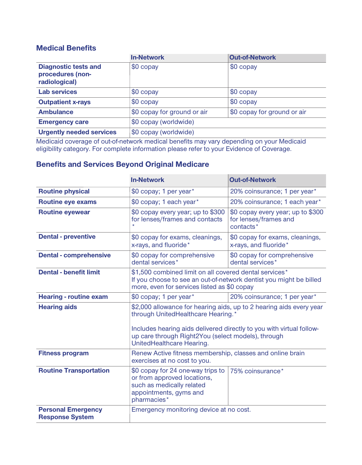#### **Medical Benefits**

|                                                                  | <b>In-Network</b>           | <b>Out-of-Network</b>       |
|------------------------------------------------------------------|-----------------------------|-----------------------------|
| <b>Diagnostic tests and</b><br>procedures (non-<br>radiological) | \$0 copay                   | $$0$ copay                  |
| <b>Lab services</b>                                              | $\sqrt{50}$ copay           | $$0$ copay                  |
| <b>Outpatient x-rays</b>                                         | $$0$ copay                  | $$0$ copay                  |
| <b>Ambulance</b>                                                 | \$0 copay for ground or air | \$0 copay for ground or air |
| <b>Emergency care</b>                                            | \$0 copay (worldwide)       |                             |
| <b>Urgently needed services</b>                                  | \$0 copay (worldwide)       |                             |

**Medicaid coverage of out-of-network medical benefits may vary depending on your Medicaid eligibility category. For complete information please refer to your Evidence of Coverage.**

### **Benefits and Services Beyond Original Medicare**

|                                                     | <b>In-Network</b>                                                                                                                                                                             | <b>Out-of-Network</b>                                                   |
|-----------------------------------------------------|-----------------------------------------------------------------------------------------------------------------------------------------------------------------------------------------------|-------------------------------------------------------------------------|
| <b>Routine physical</b>                             | \$0 copay; 1 per year*                                                                                                                                                                        | 20% coinsurance; 1 per year*                                            |
| <b>Routine eye exams</b>                            | \$0 copay; 1 each year*                                                                                                                                                                       | 20% coinsurance; 1 each year*                                           |
| <b>Routine eyewear</b>                              | \$0 copay every year; up to \$300<br>for lenses/frames and contacts                                                                                                                           | \$0 copay every year; up to \$300<br>for lenses/frames and<br>contacts* |
| <b>Dental - preventive</b>                          | \$0 copay for exams, cleanings,<br>x-rays, and fluoride*                                                                                                                                      | \$0 copay for exams, cleanings,<br>x-rays, and fluoride*                |
| <b>Dental - comprehensive</b>                       | \$0 copay for comprehensive<br>dental services*                                                                                                                                               | \$0 copay for comprehensive<br>dental services*                         |
| <b>Dental - benefit limit</b>                       | \$1,500 combined limit on all covered dental services*<br>If you choose to see an out-of-network dentist you might be billed<br>more, even for services listed as \$0 copay                   |                                                                         |
| <b>Hearing - routine exam</b>                       | \$0 copay; 1 per year*                                                                                                                                                                        | 20% coinsurance; 1 per year*                                            |
| <b>Hearing aids</b>                                 | through UnitedHealthcare Hearing.*<br>Includes hearing aids delivered directly to you with virtual follow-<br>up care through Right2You (select models), through<br>UnitedHealthcare Hearing. | \$2,000 allowance for hearing aids, up to 2 hearing aids every year     |
| <b>Fitness program</b>                              | Renew Active fitness membership, classes and online brain<br>exercises at no cost to you.                                                                                                     |                                                                         |
| <b>Routine Transportation</b>                       | \$0 copay for 24 one-way trips to<br>or from approved locations,<br>such as medically related<br>appointments, gyms and<br>pharmacies*                                                        | 75% coinsurance*                                                        |
| <b>Personal Emergency</b><br><b>Response System</b> | Emergency monitoring device at no cost.                                                                                                                                                       |                                                                         |